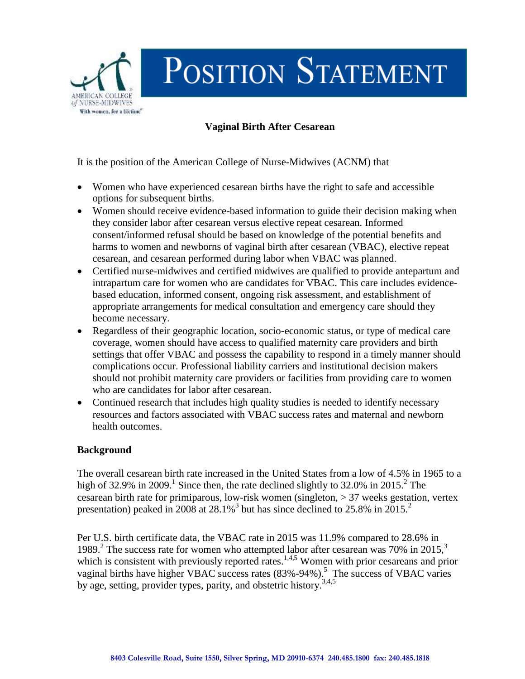

## **Vaginal Birth After Cesarean**

It is the position of the American College of Nurse-Midwives (ACNM) that

- Women who have experienced cesarean births have the right to safe and accessible options for subsequent births.
- Women should receive evidence-based information to guide their decision making when they consider labor after cesarean versus elective repeat cesarean. Informed consent/informed refusal should be based on knowledge of the potential benefits and harms to women and newborns of vaginal birth after cesarean (VBAC), elective repeat cesarean, and cesarean performed during labor when VBAC was planned.
- Certified nurse-midwives and certified midwives are qualified to provide antepartum and intrapartum care for women who are candidates for VBAC. This care includes evidencebased education, informed consent, ongoing risk assessment, and establishment of appropriate arrangements for medical consultation and emergency care should they become necessary.
- Regardless of their geographic location, socio-economic status, or type of medical care coverage, women should have access to qualified maternity care providers and birth settings that offer VBAC and possess the capability to respond in a timely manner should complications occur. Professional liability carriers and institutional decision makers should not prohibit maternity care providers or facilities from providing care to women who are candidates for labor after cesarean.
- Continued research that includes high quality studies is needed to identify necessary resources and factors associated with VBAC success rates and maternal and newborn health outcomes.

## **Background**

The overall cesarean birth rate increased in the United States from a low of 4.5% in 1965 to a high of 32.9% in 2009.<sup>1</sup> Since then, the rate declined slightly to 32.0% in 2015.<sup>2</sup> The cesarean birth rate for primiparous, low-risk women (singleton, > 37 weeks gestation, vertex presentation) peaked in 2008 at  $28.1\%$ <sup>3</sup> but has since declined to 25.8% in 2015.<sup>2</sup>

Per U.S. birth certificate data, the VBAC rate in 2015 was 11.9% compared to 28.6% in 1989.<sup>2</sup> The success rate for women who attempted labor after cesarean was 70% in 2015,<sup>3</sup> which is consistent with previously reported rates.<sup>1,4,5</sup> Women with prior cesareans and prior vaginal births have higher VBAC success rates (83%-94%).<sup>5</sup> The success of VBAC varies by age, setting, provider types, parity, and obstetric history.3,4,5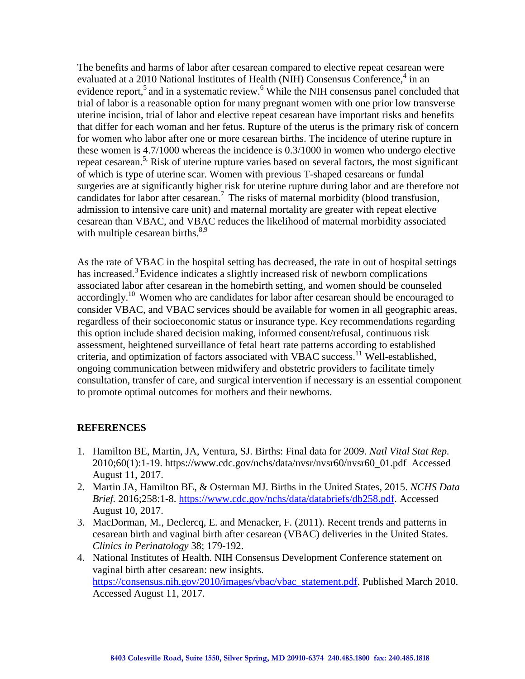The benefits and harms of labor after cesarean compared to elective repeat cesarean were evaluated at a 2010 National Institutes of Health (NIH) Consensus Conference,<sup>4</sup> in an evidence report,<sup>5</sup> and in a systematic review.<sup>6</sup> While the NIH consensus panel concluded that trial of labor is a reasonable option for many pregnant women with one prior low transverse uterine incision, trial of labor and elective repeat cesarean have important risks and benefits that differ for each woman and her fetus. Rupture of the uterus is the primary risk of concern for women who labor after one or more cesarean births. The incidence of uterine rupture in these women is 4.7/1000 whereas the incidence is 0.3/1000 in women who undergo elective repeat cesarean.<sup>5,</sup> Risk of uterine rupture varies based on several factors, the most significant of which is type of uterine scar. Women with previous T-shaped cesareans or fundal surgeries are at significantly higher risk for uterine rupture during labor and are therefore not candidates for labor after cesarean. 7 The risks of maternal morbidity (blood transfusion, admission to intensive care unit) and maternal mortality are greater with repeat elective cesarean than VBAC, and VBAC reduces the likelihood of maternal morbidity associated with multiple cesarean births. $8,9$ 

As the rate of VBAC in the hospital setting has decreased, the rate in out of hospital settings has increased.<sup>3</sup> Evidence indicates a slightly increased risk of newborn complications associated labor after cesarean in the homebirth setting, and women should be counseled accordingly.<sup>10</sup> Women who are candidates for labor after cesarean should be encouraged to consider VBAC, and VBAC services should be available for women in all geographic areas, regardless of their socioeconomic status or insurance type. Key recommendations regarding this option include shared decision making, informed consent/refusal, continuous risk assessment, heightened surveillance of fetal heart rate patterns according to established criteria, and optimization of factors associated with VBAC success.<sup>11</sup> Well-established, ongoing communication between midwifery and obstetric providers to facilitate timely consultation, transfer of care, and surgical intervention if necessary is an essential component to promote optimal outcomes for mothers and their newborns.

## **REFERENCES**

- 1. Hamilton BE, Martin, JA, Ventura, SJ. Births: Final data for 2009. *Natl Vital Stat Rep.*  2010;60(1):1-19. https://www.cdc.gov/nchs/data/nvsr/nvsr60/nvsr60\_01.pdf Accessed August 11, 2017.
- 2. Martin JA, Hamilton BE, & Osterman MJ. Births in the United States, 2015. *NCHS Data Brief.* 2016;258:1-8. [https://www.cdc.gov/nchs/data/databriefs/db258.pdf.](https://www.cdc.gov/nchs/data/databriefs/db258.pdf) Accessed August 10, 2017.
- 3. MacDorman, M., Declercq, E. and Menacker, F. (2011). Recent trends and patterns in cesarean birth and vaginal birth after cesarean (VBAC) deliveries in the United States. *Clinics in Perinatology* 38; 179-192.
- 4. National Institutes of Health. NIH Consensus Development Conference statement on vaginal birth after cesarean: new insights. [https://consensus.nih.gov/2010/images/vbac/vbac\\_statement.pdf.](https://consensus.nih.gov/2010/images/vbac/vbac_statement.pdf) Published March 2010. Accessed August 11, 2017.